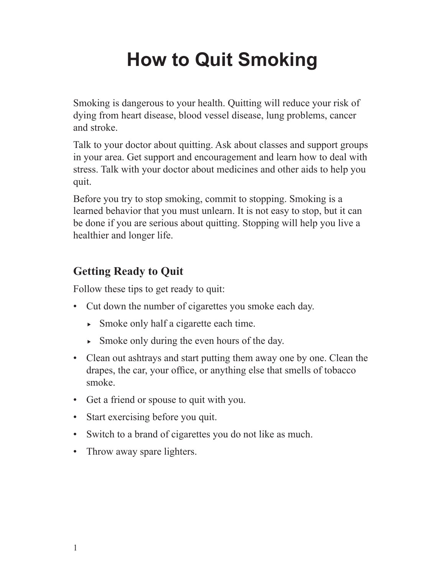# **How to Quit Smoking**

Smoking is dangerous to your health. Quitting will reduce your risk of dying from heart disease, blood vessel disease, lung problems, cancer and stroke.

Talk to your doctor about quitting. Ask about classes and support groups in your area. Get support and encouragement and learn how to deal with stress. Talk with your doctor about medicines and other aids to help you quit.

Before you try to stop smoking, commit to stopping. Smoking is a learned behavior that you must unlearn. It is not easy to stop, but it can be done if you are serious about quitting. Stopping will help you live a healthier and longer life.

## **Getting Ready to Quit**

Follow these tips to get ready to quit:

- Cut down the number of cigarettes you smoke each day.
	- $\blacktriangleright$  Smoke only half a cigarette each time.
	- $\blacktriangleright$  Smoke only during the even hours of the day.
- Clean out ashtrays and start putting them away one by one. Clean the drapes, the car, your office, or anything else that smells of tobacco smoke.
- Get a friend or spouse to quit with you.
- Start exercising before you quit.
- Switch to a brand of cigarettes you do not like as much.
- Throw away spare lighters.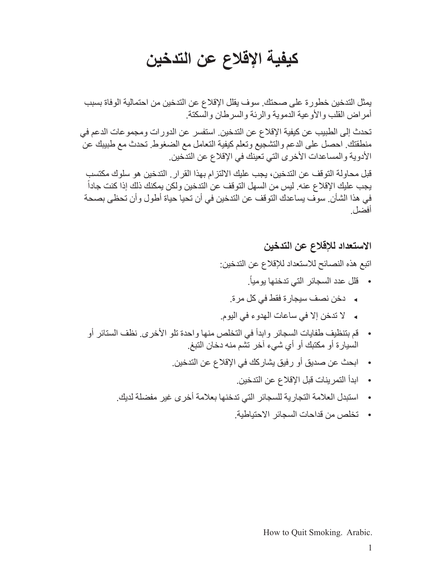## **كيفية اإلقالع عن التدخين**

يمثل التدخين خطورة على صحتك. سوف يقلل اإلقالع عن التدخين من احتمالية الوفاة بسبب أمراض القلب والأوعية الدموية والرئة والسرطان والسكتة.

تحدث إلى الطبيب عن كيفية اإلقالع عن التدخين. استفسر عن الدورات ومجموعات الدعم في منطقتك. احصل على الدعم والتشجيع وتعلم كيفية التعامل مع الضغوط. تحدث مع طبيبك عن الأدوية والمساعدات الأخرى التي تعينك في الإقلاع عن التدخين.

قبل محاولة التوقف عن التدخين، يجب عليك االلتزام بهذا القرار. التدخين هو سلوك مكتسب ً يجب عليك اإلقالع عنه. ليس من السهل التوقف عن التدخين ولكن يمكنك ذلك إذا كنت جادا في هذا الشأن. سوف يساعدك التوقف عن التدخين في أن تحيا حياة أطول وأن تحظى بصحة أفضل.

#### **االستعداد لإلقالع عن التدخين**

اتبع هذه النصائح لالستعداد لإلقالع عن التدخين:

- .ً • قلل عدد السجائر التي تدخنها يوميا
- <sup>e</sup> دخن نصف سيجارة فقط في كل مرة.
- <sup>e</sup> ال تدخن إال في ساعات الهدوء في اليوم.
- قم بتنظيف طفايات السجائر وابدأ في التخلص منها واحدة تلو الأخرى. نظف الستائر أو السيارة أو مكتبك أو أي شيء آخر تشم منه دخان التبغ.
	- • ابحث عن صديق أو رفيق يشاركك في اإلقالع عن التدخين.
		- • ابدأ التمرينات قبل اإلقالع عن التدخين.
	- • استبدل العالمة التجارية للسجائر التي تدخنها بعالمة أخرى غير مفضلة لديك.
		- • تخلص من قداحات السجائر االحتياطية.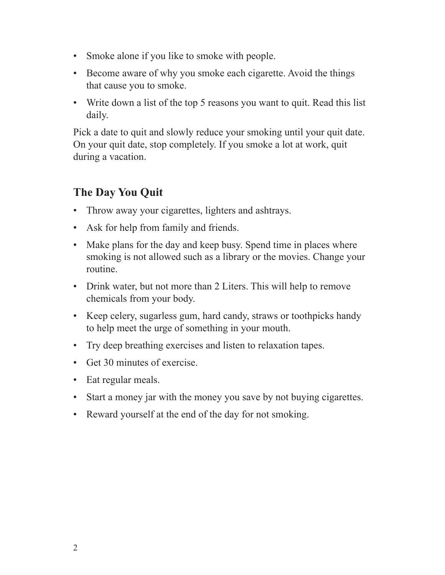- Smoke alone if you like to smoke with people.
- Become aware of why you smoke each cigarette. Avoid the things that cause you to smoke.
- Write down a list of the top 5 reasons you want to quit. Read this list daily.

Pick a date to quit and slowly reduce your smoking until your quit date. On your quit date, stop completely. If you smoke a lot at work, quit during a vacation.

## **The Day You Quit**

- Throw away your cigarettes, lighters and ashtrays.
- Ask for help from family and friends.
- Make plans for the day and keep busy. Spend time in places where smoking is not allowed such as a library or the movies. Change your routine.
- Drink water, but not more than 2 Liters. This will help to remove chemicals from your body.
- Keep celery, sugarless gum, hard candy, straws or toothpicks handy to help meet the urge of something in your mouth.
- • Try deep breathing exercises and listen to relaxation tapes.
- Get 30 minutes of exercise.
- Eat regular meals.
- Start a money jar with the money you save by not buying cigarettes.
- Reward yourself at the end of the day for not smoking.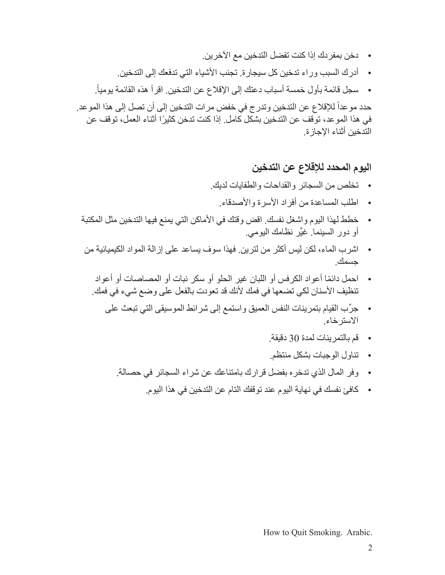- دخن بمفردك إذا كنت تفضل التدخين مع الآخرين.
- • أدرك السبب وراء تدخين كل سيجارة. تجنب األشياء التي تدفعك إلى التدخين.
- .ً • سجل قائمة بأول خمسة أسباب دعتك إلى اإلقالع عن التدخين. اقرأ هذه القائمة يوميا

حدد موعداً للإقلاع عن التدخين وتدرج في خفض مرات التدخين إلى أن تصل إلى هذا الموعد. في هذا الموعد، توقف عن التدخين بشكل كامل. إذا كنت تدخن ً كثيرا أثناء العمل، توقف عن التدخين أثناء اإلجازة.

## **اليوم المحدد لإلقالع عن التدخين**

- • تخلص من السجائر والقداحات والطفايات لديك.
	- • اطلب المساعدة من أفراد األسرة واألصدقاء.
- • خطط لهذا اليوم واشغل نفسك. اقض وقتك في األماكن التي يمنع فيها التدخين مثل المكتبة أو دور السينما. غيِّر نظامك اليومي<sub>.</sub>
- • اشرب الماء، لكن ليس أكثر من لترين. فهذا سوف يساعد على إزالة المواد الكيميائية من جسمك.
	- احمل دائمًا أعواد الكرفس أو اللبان غير الحلو أو سكر نبات أو المصاصات أو أعواد تنظيف الأسنان لكي تضعها في فمك لأنك قد تعودت بالفعل على وضع شيء في فمك.
		- جرِّب القيام بتمرينات النفس العميق واستمع إلى شرائط الموسيقى التي تبعث على االسترخاء.
			- • قم بالتمرينات لمدة 30 دقيقة.
			- • تناول الوجبات بشكل منتظم.
			- • وفر المال الذي تدخره بفضل قرارك بامتناعك عن شراء السجائر في حصالة.
				- • كافئ نفسك في نهاية اليوم عند توقفك التام عن التدخين في هذا اليوم.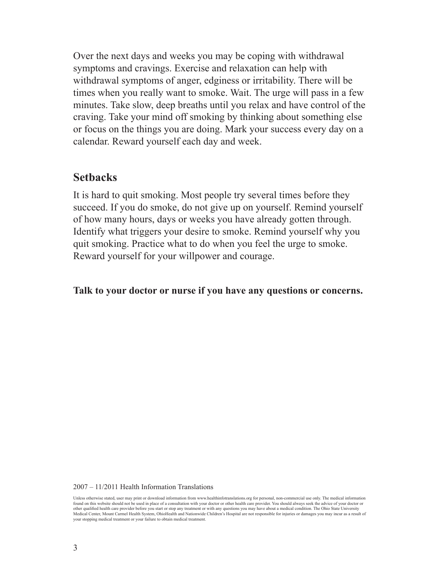Over the next days and weeks you may be coping with withdrawal symptoms and cravings. Exercise and relaxation can help with withdrawal symptoms of anger, edginess or irritability. There will be times when you really want to smoke. Wait. The urge will pass in a few minutes. Take slow, deep breaths until you relax and have control of the craving. Take your mind off smoking by thinking about something else or focus on the things you are doing. Mark your success every day on a calendar. Reward yourself each day and week.

## **Setbacks**

It is hard to quit smoking. Most people try several times before they succeed. If you do smoke, do not give up on yourself. Remind yourself of how many hours, days or weeks you have already gotten through. Identify what triggers your desire to smoke. Remind yourself why you quit smoking. Practice what to do when you feel the urge to smoke. Reward yourself for your willpower and courage.

**Talk to your doctor or nurse if you have any questions or concerns.**

#### 2007 – 11/2011 Health Information Translations

Unless otherwise stated, user may print or download information from www.healthinfotranslations.org for personal, non-commercial use only. The medical information found on this website should not be used in place of a consultation with your doctor or other health care provider. You should always seek the advice of your doctor or other qualified health care provider before you start or stop any treatment or with any questions you may have about a medical condition. The Ohio State University<br>Medical Center, Mount Carmel Health System, OhioHealth and your stopping medical treatment or your failure to obtain medical treatment.